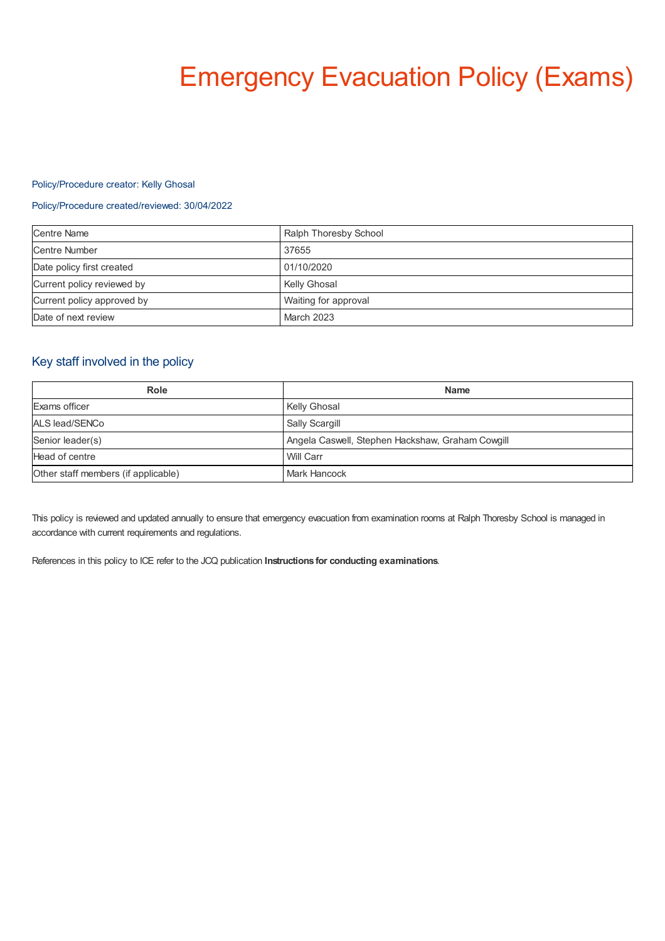# Emergency Evacuation Policy (Exams)

#### Policy/Procedure creator: Kelly Ghosal

#### Policy/Procedure created/reviewed: 30/04/2022

| <b>Centre Name</b>         | Ralph Thoresby School |
|----------------------------|-----------------------|
| <b>Centre Number</b>       | 37655                 |
| Date policy first created  | 01/10/2020            |
| Current policy reviewed by | <b>Kelly Ghosal</b>   |
| Current policy approved by | Waiting for approval  |
| Date of next review        | March 2023            |

## Key staff involved in the policy

| Role                                | <b>Name</b>                                      |
|-------------------------------------|--------------------------------------------------|
| Exams officer                       | Kelly Ghosal                                     |
| ALS lead/SENCo                      | Sally Scargill                                   |
| Senior leader(s)                    | Angela Caswell, Stephen Hackshaw, Graham Cowgill |
| Head of centre                      | Will Carr                                        |
| Other staff members (if applicable) | <b>Mark Hancock</b>                              |

This policy is reviewed and updated annually to ensure that emergency evacuation from examination rooms at Ralph Thoresby School is managed in accordance with current requirements and regulations.

References in this policy to ICE refer to the JCQ publication **Instructions for conducting examinations**.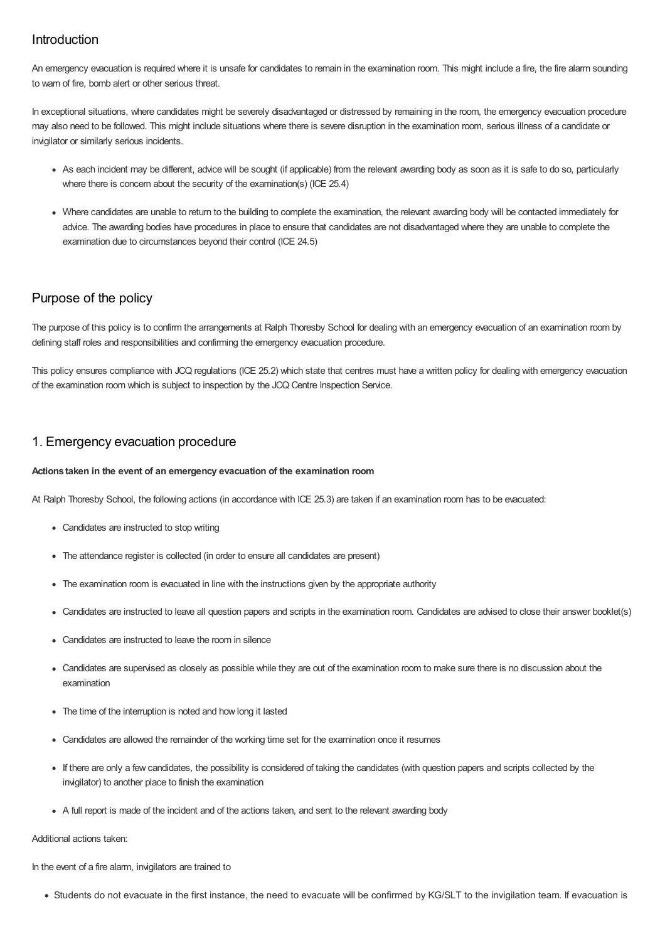## Introduction

An emergency evacuation is required where it is unsafe for candidates to remain in the examination room. This might include a fire, the fire alarm sounding to warn of fire, bomb alert or other serious threat.

In exceptional situations, where candidates might be severely disadvantaged or distressed by remaining in the room, the emergency evacuation procedure may also need to be followed. This might include situations where there is severe disruption in the examination room, serious illness of a candidate or invigilator or similarly serious incidents.

- As each incident may be different, advice will be sought (if applicable) from the relevant awarding body as soon as it is safe to do so, particularly where there is concern about the security of the examination(s) (ICE 25.4)
- Where candidates are unable to return to the building to complete the examination, the relevant awarding body will be contacted immediately for advice. The awarding bodies have procedures in place to ensure that candidates are not disadvantaged where they are unable to complete the examination due to circumstances beyond their control (ICE 24.5)

## Purpose of the policy

The purpose of this policy is to confirm the arrangements at Ralph Thoresby School for dealing with an emergency evacuation of an examination room by defining staff roles and responsibilities and confirming the emergency evacuation procedure.

This policy ensures compliance with JCQ regulations (ICE 25.2) which state that centres must have a written policy for dealing with emergency evacuation of the examination room which is subject to inspection by the JCQ Centre Inspection Service.

## 1. Emergency evacuation procedure

#### **Actions taken in the event of an emergency evacuation of the examination room**

At Ralph Thoresby School, the following actions (in accordance with ICE 25.3) are taken if an examination room has to be evacuated:

- Candidates are instructed to stop writing
- The attendance register is collected (in order to ensure all candidates are present)
- The examination room is evacuated in line with the instructions given by the appropriate authority
- Candidates are instructed to leave all question papers and scripts in the examination room. Candidates are advised to close their answer booklet(s)
- Candidates are instructed to leave the room in silence
- Candidates are supervised as closely as possible while they are out of the examination room to make sure there is no discussion about the examination
- The time of the interruption is noted and how long it lasted
- Candidates are allowed the remainder of the working time set for the examination once it resumes
- If there are only a few candidates, the possibility is considered of taking the candidates (with question papers and scripts collected by the invigilator) to another place to finish the examination
- A full report is made of the incident and of the actions taken, and sent to the relevant awarding body

#### Additional actions taken:

In the event of a fire alarm, invigilators are trained to

Students do not evacuate in the first instance, the need to evacuate will be confirmed by KG/SLT to the invigilation team. If evacuation is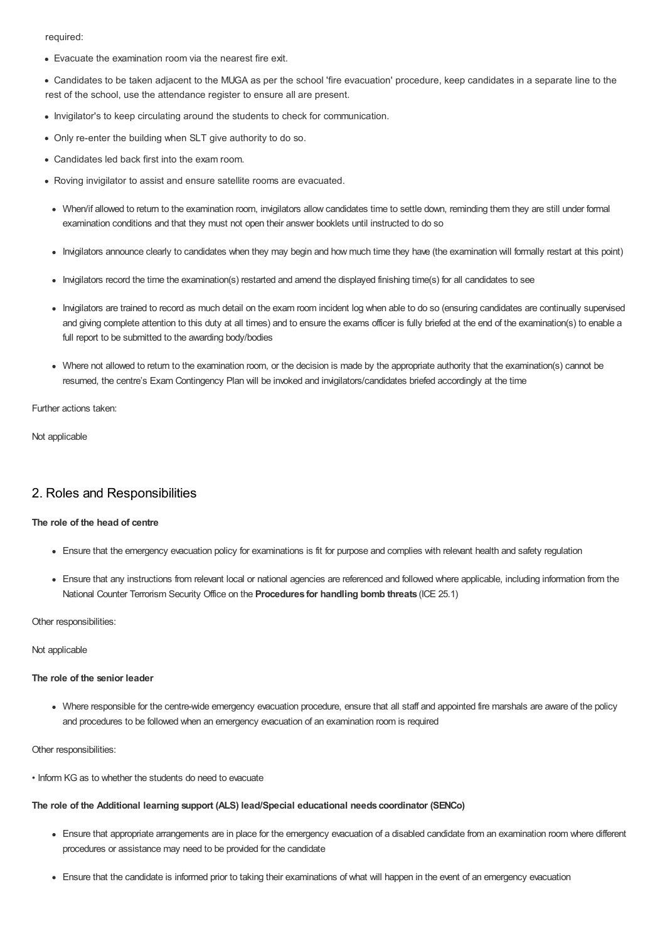required:

- Evacuate the examination room via the nearest fire exit.
- Candidates to be taken adjacent to the MUGA as per the school 'fire evacuation' procedure, keep candidates in a separate line to the rest of the school, use the attendance register to ensure all are present.
- Invigilator's to keep circulating around the students to check for communication.
- Only re-enter the building when SLT give authority to do so.
- Candidates led back first into the exam room.
- Roving invigilator to assist and ensure satellite rooms are evacuated.
	- When/if allowed to return to the examination room, invigilators allow candidates time to settle down, reminding them they are still under formal examination conditions and that they must not open their answer booklets until instructed to do so
	- Invigilators announce clearly to candidates when they may begin and how much time they have (the examination will formally restart at this point)
	- Invigilators record the time the examination(s) restarted and amend the displayed finishing time(s) for all candidates to see
	- Invigilators are trained to record as much detail on the exam room incident log when able to do so (ensuring candidates are continually supervised and giving complete attention to this duty at all times) and to ensure the exams officer is fully briefed at the end of the examination(s) to enable a full report to be submitted to the awarding body/bodies
	- Where not allowed to return to the examination room, or the decision is made by the appropriate authority that the examination(s) cannot be resumed, the centre's Exam Contingency Plan will be invoked and invigilators/candidates briefed accordingly at the time

Further actions taken:

Not applicable

## 2. Roles and Responsibilities

#### **The role of the head of centre**

- Ensure that the emergency evacuation policy for examinations is fit for purpose and complies with relevant health and safety regulation
- Ensure that any instructions from relevant local or national agencies are referenced and followed where applicable, including information from the National Counter Terrorism Security Office on the **Procedures for handling bomb threats** (ICE 25.1)

Other responsibilities:

Not applicable

#### **The role of the senior leader**

Where responsible for the centre-wide emergency evacuation procedure, ensure that all staff and appointed fire marshals are aware of the policy and procedures to be followed when an emergency evacuation of an examination room is required

Other responsibilities:

• Inform KG as to whether the students do need to evacuate

#### **The role of the Additional learning support (ALS) lead/Special educational needs coordinator (SENCo)**

- Ensure that appropriate arrangements are in place for the emergency evacuation of a disabled candidate from an examination room where different procedures or assistance may need to be provided for the candidate
- Ensure that the candidate is informed prior to taking their examinations of what will happen in the event of an emergency evacuation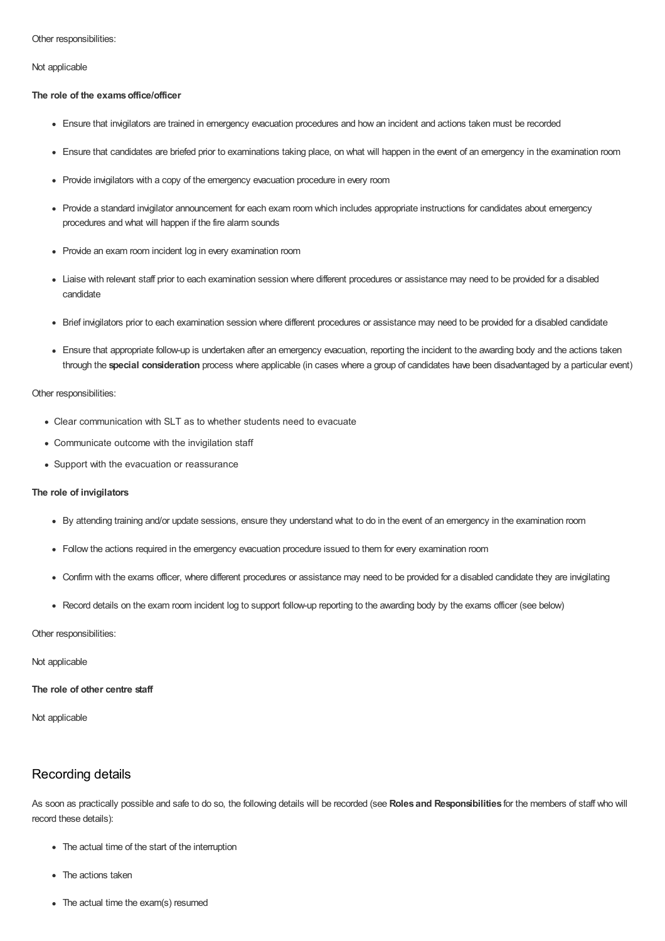#### Other responsibilities:

Not applicable

#### **The role of the examsoffice/officer**

- Ensure that invigilators are trained in emergency evacuation procedures and how an incident and actions taken must be recorded
- Ensure that candidates are briefed prior to examinations taking place, on what will happen in the event of an emergency in the examination room
- Provide invigilators with a copy of the emergency evacuation procedure in every room
- Provide a standard invigilator announcement for each exam room which includes appropriate instructions for candidates about emergency procedures and what will happen if the fire alarm sounds
- Provide an exam room incident log in every examination room
- Liaise with relevant staff prior to each examination session where different procedures or assistance may need to be provided for a disabled candidate
- Brief invigilators prior to each examination session where different procedures or assistance may need to be provided for a disabled candidate
- Ensure that appropriate follow-up is undertaken after an emergency evacuation, reporting the incident to the awarding body and the actions taken through the **special consideration** process where applicable (in cases where a group of candidates have been disadvantaged by a particular event)

#### Other responsibilities:

- Clear communication with SLT as to whether students need to evacuate
- Communicate outcome with the invigilation staff
- Support with the evacuation or reassurance

#### **The role of invigilators**

- By attending training and/or update sessions, ensure they understand what to do in the event of an emergency in the examination room
- Follow the actions required in the emergency evacuation procedure issued to them for every examination room
- Confirm with the exams officer, where different procedures or assistance may need to be provided for a disabled candidate they are invigilating
- Record details on the exam room incident log to support follow-up reporting to the awarding body by the exams officer (see below)

#### Other responsibilities:

Not applicable

**The role of other centre staff**

Not applicable

## Recording details

As soon as practically possible and safe to do so, the following details will be recorded (see **Roles and Responsibilities** for the members of staff who will record these details):

- The actual time of the start of the interruption
- The actions taken
- The actual time the exam(s) resumed